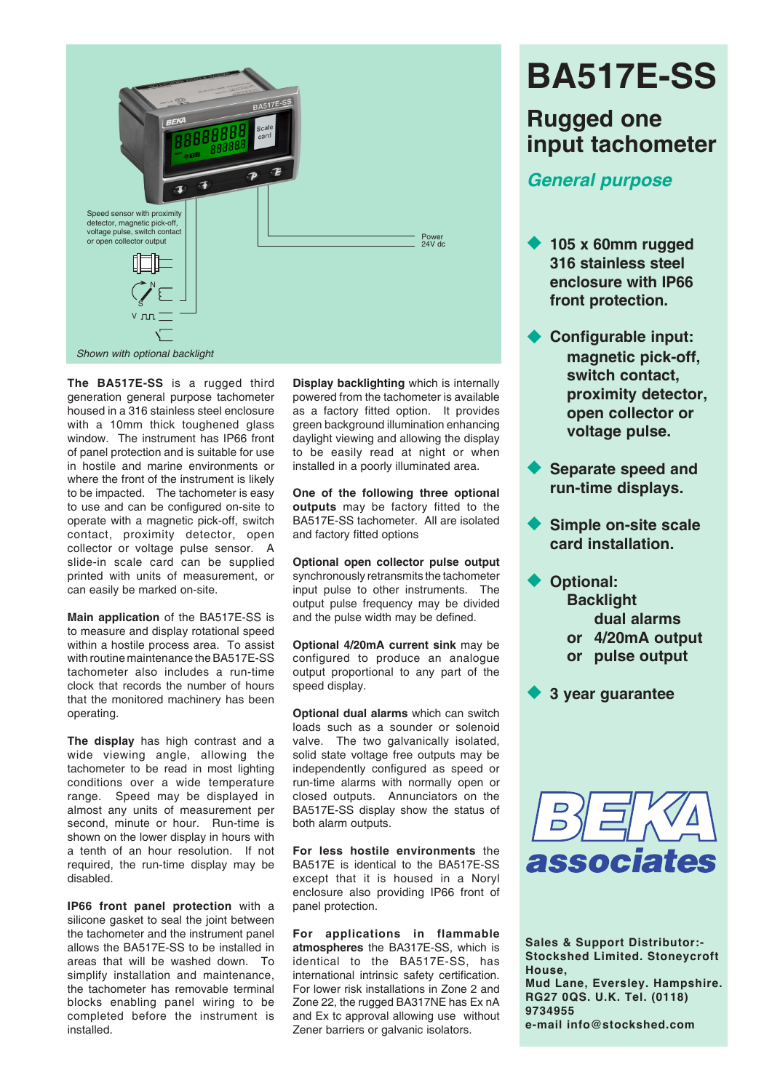

**The BA517E-SS** is a rugged third generation general purpose tachometer housed in a 316 stainless steel enclosure with a 10mm thick toughened glass window. The instrument has IP66 front of panel protection and is suitable for use in hostile and marine environments or where the front of the instrument is likely to be impacted. The tachometer is easy to use and can be configured on-site to operate with a magnetic pick-off, switch contact, proximity detector, open collector or voltage pulse sensor. A slide-in scale card can be supplied printed with units of measurement, or can easily be marked on-site.

**Main application** of the BA517E-SS is to measure and display rotational speed within a hostile process area. To assist with routine maintenance the BA517E-SS tachometer also includes a run-time clock that records the number of hours that the monitored machinery has been operating.

**The display** has high contrast and a wide viewing angle, allowing the tachometer to be read in most lighting conditions over a wide temperature range. Speed may be displayed in almost any units of measurement per second, minute or hour. Run-time is shown on the lower display in hours with a tenth of an hour resolution. If not required, the run-time display may be disabled.

**IP66 front panel protection** with a silicone gasket to seal the joint between the tachometer and the instrument panel allows the BA517E-SS to be installed in areas that will be washed down. To simplify installation and maintenance, the tachometer has removable terminal blocks enabling panel wiring to be completed before the instrument is installed.

**Display backlighting** which is internally powered from the tachometer is available as a factory fitted option. It provides green background illumination enhancing daylight viewing and allowing the display to be easily read at night or when installed in a poorly illuminated area.

**One of the following three optional outputs** may be factory fitted to the BA517E-SS tachometer. All are isolated and factory fitted options

**Optional open collector pulse output** synchronously retransmits the tachometer input pulse to other instruments. The output pulse frequency may be divided and the pulse width may be defined.

**Optional 4/20mA current sink** may be configured to produce an analogue output proportional to any part of the speed display.

**Optional dual alarms** which can switch loads such as a sounder or solenoid valve. The two galvanically isolated, solid state voltage free outputs may be independently configured as speed or run-time alarms with normally open or closed outputs. Annunciators on the BA517E-SS display show the status of both alarm outputs.

**For less hostile environments** the BA517E is identical to the BA517E-SS except that it is housed in a Noryl enclosure also providing IP66 front of panel protection.

**For applications in flammable atmospheres** the BA317E-SS, which is identical to the BA517E-SS, has international intrinsic safety certification. For lower risk installations in Zone 2 and Zone 22, the rugged BA317NE has Ex nA and Ex tc approval allowing use without Zener barriers or galvanic isolators.

# **BA517E-SS**

# **Rugged one input tachometer**

# *General purpose*

- u **105 x 60mm rugged 316 stainless steel enclosure with IP66 front protection.**
- **Configurable input: magnetic pick-off, switch contact, proximity detector, open collector or voltage pulse.**
- **Separate speed and run-time displays.**
- **Simple on-site scale card installation.**
	- **Optional: Backlight dual alarms or 4/20mA output or pulse output**

**3 year guarantee** 



**Sales & Support Distributor:- Stockshed Limited. Stoneycroft House, Mud Lane, Eversley. Hampshire. RG27 0QS. U.K. Tel. (0118) 9734955 e-mail info@stockshed.com**